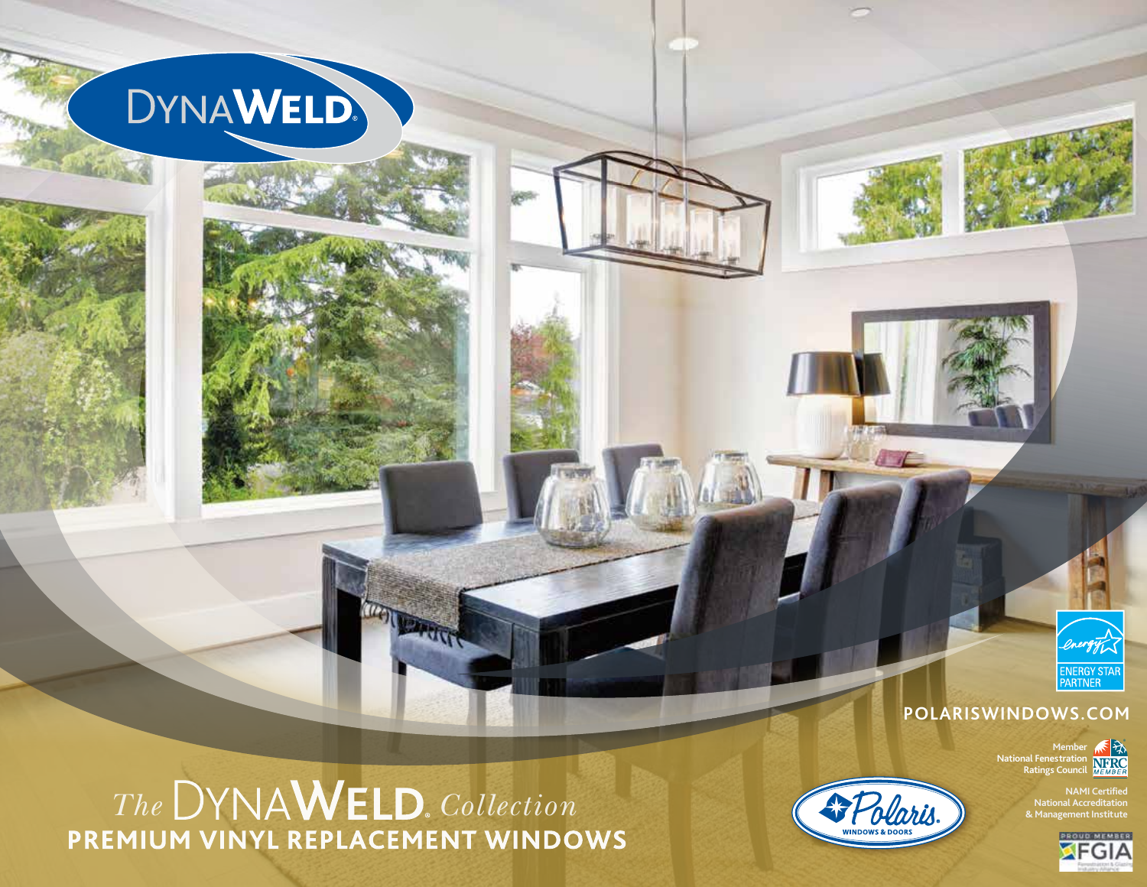

# *The* DYNAWELD. *Collection*<br>PREMIUM VINYL REPLACEMENT WINDOWS

**ATTTP** 



 $\sqrt{C}$ 



**®**

**Member National Fenestration Ratings Council**

> **NAMI Certified National Accreditation & Management Institute ®**